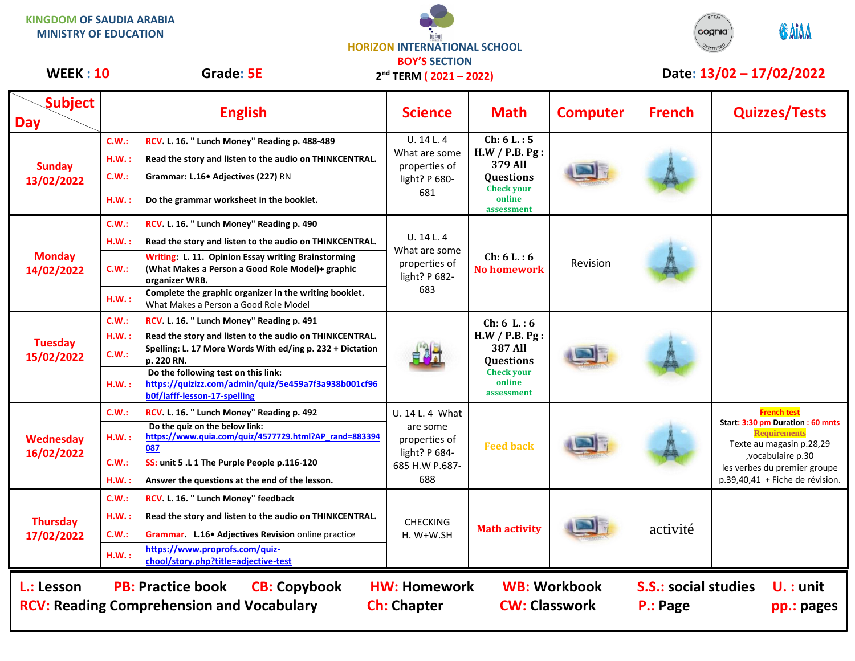**KINGDOM OF SAUDIA ARABIA MINISTRY OF EDUCATION**

**HORIZON INTERNATIONAL SCHOOL BOY'S SECTION 2 nd TERM ( 2021 – 2022)**



## **WEEK : 10** Grade: 5E 2<sup>nd</sup> TERM (2021 – 2022) Date: 13/02 – 17/02/2022

| <b>Subject</b><br><b>Day</b>                                                                                                                                                                                                                                                          |       | <b>English</b>                                                                                                              | <b>Science</b>                                                                         | <b>Math</b>                                                                                                     | <b>Computer</b> | <b>French</b> | <b>Quizzes/Tests</b>                                                                                                                                                         |  |
|---------------------------------------------------------------------------------------------------------------------------------------------------------------------------------------------------------------------------------------------------------------------------------------|-------|-----------------------------------------------------------------------------------------------------------------------------|----------------------------------------------------------------------------------------|-----------------------------------------------------------------------------------------------------------------|-----------------|---------------|------------------------------------------------------------------------------------------------------------------------------------------------------------------------------|--|
| <b>Sunday</b><br>13/02/2022                                                                                                                                                                                                                                                           | C.W.: | RCV. L. 16. " Lunch Money" Reading p. 488-489                                                                               | U. 14 L. 4<br>What are some<br>properties of<br>light? P 680-<br>681                   | Ch: 6 L: 5<br>H.W / P.B. Pg:<br>379 All<br>Questions<br><b>Check your</b><br>online<br>assessment               |                 |               |                                                                                                                                                                              |  |
|                                                                                                                                                                                                                                                                                       | H.W.: | Read the story and listen to the audio on THINKCENTRAL.                                                                     |                                                                                        |                                                                                                                 |                 |               |                                                                                                                                                                              |  |
|                                                                                                                                                                                                                                                                                       | C.W.: | Grammar: L.16• Adjectives (227) RN                                                                                          |                                                                                        |                                                                                                                 |                 |               |                                                                                                                                                                              |  |
|                                                                                                                                                                                                                                                                                       | H.W.: | Do the grammar worksheet in the booklet.                                                                                    |                                                                                        |                                                                                                                 |                 |               |                                                                                                                                                                              |  |
| <b>Monday</b><br>14/02/2022                                                                                                                                                                                                                                                           | C.W.: | RCV. L. 16. " Lunch Money" Reading p. 490                                                                                   | U.14L.4<br>What are some<br>properties of<br>light? P 682-<br>683                      | Ch: 6 L: 6<br>No homework                                                                                       | Revision        |               |                                                                                                                                                                              |  |
|                                                                                                                                                                                                                                                                                       | H.W.: | Read the story and listen to the audio on THINKCENTRAL.                                                                     |                                                                                        |                                                                                                                 |                 |               |                                                                                                                                                                              |  |
|                                                                                                                                                                                                                                                                                       | C.W.: | Writing: L. 11. Opinion Essay writing Brainstorming<br>(What Makes a Person a Good Role Model)+ graphic<br>organizer WRB.   |                                                                                        |                                                                                                                 |                 |               |                                                                                                                                                                              |  |
|                                                                                                                                                                                                                                                                                       | H.W.: | Complete the graphic organizer in the writing booklet.<br>What Makes a Person a Good Role Model                             |                                                                                        |                                                                                                                 |                 |               |                                                                                                                                                                              |  |
|                                                                                                                                                                                                                                                                                       | C.W.: | RCV. L. 16. " Lunch Money" Reading p. 491                                                                                   |                                                                                        | Ch: 6 L: 6<br>H.W / P.B. Pg:<br><b>387 All</b><br><b>Questions</b><br><b>Check your</b><br>online<br>assessment |                 |               |                                                                                                                                                                              |  |
| <b>Tuesday</b><br>15/02/2022                                                                                                                                                                                                                                                          | H.W.: | Read the story and listen to the audio on THINKCENTRAL.                                                                     |                                                                                        |                                                                                                                 |                 |               |                                                                                                                                                                              |  |
|                                                                                                                                                                                                                                                                                       | CM:   | Spelling: L. 17 More Words With ed/ing p. 232 + Dictation<br>p. 220 RN.                                                     |                                                                                        |                                                                                                                 |                 |               |                                                                                                                                                                              |  |
|                                                                                                                                                                                                                                                                                       | H.W.: | Do the following test on this link:<br>https://quizizz.com/admin/quiz/5e459a7f3a938b001cf96<br>b0f/lafff-lesson-17-spelling |                                                                                        |                                                                                                                 |                 |               |                                                                                                                                                                              |  |
|                                                                                                                                                                                                                                                                                       | C.W.: | RCV. L. 16. " Lunch Money" Reading p. 492                                                                                   | U. 14 L. 4 What<br>are some<br>properties of<br>light? P 684-<br>685 H.W P.687-<br>688 | <b>Feed back</b>                                                                                                |                 |               | <b>French test</b>                                                                                                                                                           |  |
| Wednesday                                                                                                                                                                                                                                                                             | H.W.: | Do the quiz on the below link:<br>https://www.quia.com/quiz/4577729.html?AP rand=883394<br>087                              |                                                                                        |                                                                                                                 |                 |               | Start: 3:30 pm Duration: 60 mnts<br><b>Requirements</b><br>Texte au magasin p.28,29<br>, vocabulaire p.30<br>les verbes du premier groupe<br>p.39,40,41 + Fiche de révision. |  |
| 16/02/2022                                                                                                                                                                                                                                                                            | C.W.: | SS: unit 5 .L 1 The Purple People p.116-120                                                                                 |                                                                                        |                                                                                                                 |                 |               |                                                                                                                                                                              |  |
|                                                                                                                                                                                                                                                                                       | H.W.: | Answer the questions at the end of the lesson.                                                                              |                                                                                        |                                                                                                                 |                 |               |                                                                                                                                                                              |  |
| <b>Thursday</b><br>17/02/2022                                                                                                                                                                                                                                                         | C.W.: | RCV. L. 16. " Lunch Money" feedback                                                                                         | <b>CHECKING</b><br>$H. W+W.SH$                                                         | <b>Math activity</b>                                                                                            |                 | activité      |                                                                                                                                                                              |  |
|                                                                                                                                                                                                                                                                                       | H.W.: | Read the story and listen to the audio on THINKCENTRAL.                                                                     |                                                                                        |                                                                                                                 |                 |               |                                                                                                                                                                              |  |
|                                                                                                                                                                                                                                                                                       | C.W.: | Grammar. L.16. Adjectives Revision online practice                                                                          |                                                                                        |                                                                                                                 |                 |               |                                                                                                                                                                              |  |
|                                                                                                                                                                                                                                                                                       | H.W.: | https://www.proprofs.com/quiz-<br>chool/story.php?title=adjective-test                                                      |                                                                                        |                                                                                                                 |                 |               |                                                                                                                                                                              |  |
| <b>PB: Practice book</b><br><b>CB: Copybook</b><br><b>WB: Workbook</b><br><b>S.S.: social studies</b><br>L.: Lesson<br><b>HW: Homework</b><br>$U.$ : unit<br><b>CW: Classwork</b><br><b>RCV: Reading Comprehension and Vocabulary</b><br><b>Ch: Chapter</b><br>P.: Page<br>pp.: pages |       |                                                                                                                             |                                                                                        |                                                                                                                 |                 |               |                                                                                                                                                                              |  |